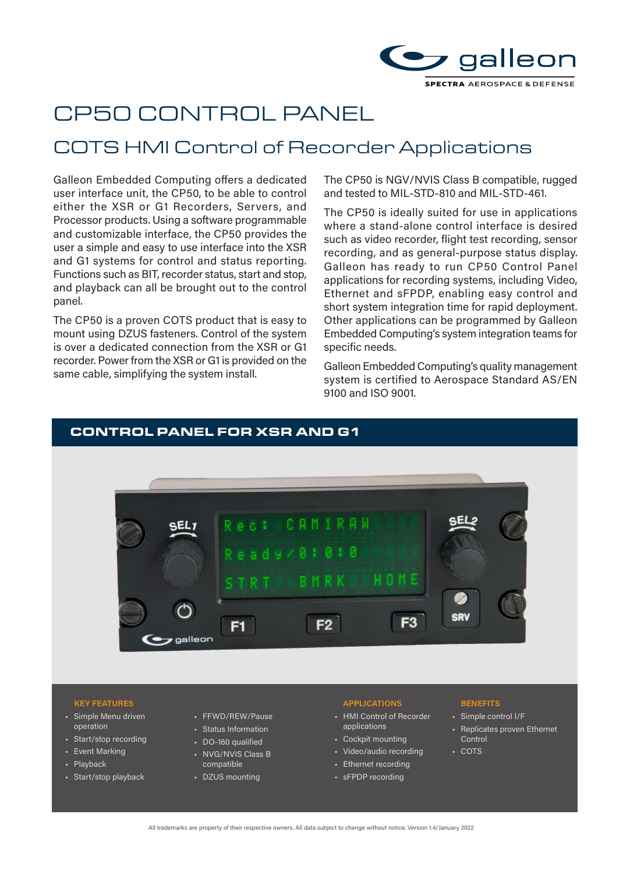

# CP50 CONTROL PANEL

## COTS HMI Control of Recorder Applications

Galleon Embedded Computing offers a dedicated user interface unit, the CP50, to be able to control either the XSR or G1 Recorders, Servers, and Processor products. Using a software programmable and customizable interface, the CP50 provides the user a simple and easy to use interface into the XSR and G1 systems for control and status reporting. Functions such as BIT, recorder status, start and stop, and playback can all be brought out to the control panel.

The CP50 is a proven COTS product that is easy to mount using DZUS fasteners. Control of the system is over a dedicated connection from the XSR or G1 recorder. Power from the XSR or G1 is provided on the same cable, simplifying the system install.

The CP50 is NGV/NVIS Class B compatible, rugged and tested to MIL-STD-810 and MIL-STD-461.

The CP50 is ideally suited for use in applications where a stand-alone control interface is desired such as video recorder, flight test recording, sensor recording, and as general-purpose status display. Galleon has ready to run CP50 Control Panel applications for recording systems, including Video, Ethernet and sFPDP, enabling easy control and short system integration time for rapid deployment. Other applications can be programmed by Galleon Embedded Computing's system integration teams for specific needs.

Galleon Embedded Computing's quality management system is certified to Aerospace Standard AS/EN 9100 and ISO 9001.

# CONTROL PANEL FOR XSR AND G1 CDV F<sub>3</sub>  $F2$  $F1$ galleor

#### **KEY FEATURES APPLICATIONS BENEFITS**

- Simple Menu driven operation
- Start/stop recording
- Event Marking
- Playback
- Start/stop playback
- FFWD/REW/Pause
- Status Information
- DO-160 qualified
- NVG/NVIS Class B compatible
- DZUS mounting

- HMI Control of Recorder applications
- Cockpit mounting
- Video/audio recording
- Ethernet recording
- sFPDP recording

- Simple control I/F
- Replicates proven Ethernet Control
- COTS